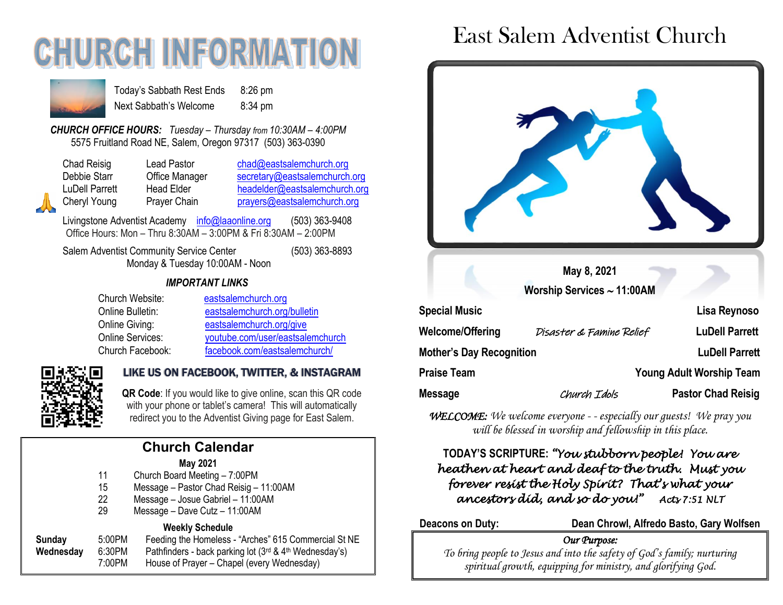# **CHURCH INFORMAT**



Today's Sabbath Rest Ends 8:26 pm Next Sabbath's Welcome 8:34 pm

*CHURCH OFFICE HOURS: Tuesday – Thursday from 10:30AM – 4:00PM* 5575 Fruitland Road NE, Salem, Oregon 97317 (503) 363-0390

| ( |
|---|
| ŀ |
| F |
|   |

Lead Pastor [chad@eastsalemchurch.org](mailto:chad@eastsalemchurch.org) Office Manager [secretary@eastsalemchurch.org](mailto:secretary@eastsalemchurch.org) Head Elder [headelder@eastsalemchurch.org](mailto:headelder@eastsalemchurch.org) Prayer Chain **Prayers@eastsalemchurch.org** 

Livingstone Adventist Academy [info@laaonline.org](mailto:info@laaonline.org) (503) 363-9408 Office Hours: Mon – Thru 8:30AM – 3:00PM & Fri 8:30AM – 2:00PM

Salem Adventist Community Service Center (503) 363-8893 Monday & Tuesday 10:00AM - Noon

#### *IMPORTANT LINKS*

| Church Website:  | eastsalemchurch.org              |
|------------------|----------------------------------|
| Online Bulletin: | eastsalemchurch.org/bulletin     |
| Online Giving:   | eastsalemchurch.org/give         |
| Online Services: | youtube.com/user/eastsalemchurch |
| Church Facebook: | facebook.com/eastsalemchurch/    |



#### LIKE US ON FACEBOOK, TWITTER, & INSTAGRAM

**QR Code**: If you would like to give online, scan this QR code with your phone or tablet's camera! This will automatically redirect you to the Adventist Giving page for East Salem.

### **Church Calendar**

#### **May 2021**

- 11 Church Board Meeting 7:00PM
- 15 Message Pastor Chad Reisig 11:00AM
- 22 Message Josue Gabriel 11:00AM
- 29 Message Dave Cutz 11:00AM

#### **Weekly Schedule**

**Sunday** 5:00PM Feeding the Homeless - "Arches" 615 Commercial St NE **Wednesday** 6:30PM Pathfinders - back parking lot (3<sup>rd</sup> & 4<sup>th</sup> Wednesday's) 7:00PM House of Prayer – Chapel (every Wednesday)

# East Salem Adventist Church



*WELCOME: We welcome everyone - - especially our guests! We pray you will be blessed in worship and fellowship in this place.*

#### **TODAY'S SCRIPTURE:** *"You stubborn people! You are heathen at heart and deaf to the truth. Must you forever resist the Holy Spirit? That's what your ancestors did, and so do you!" Acts 7:51 NLT*

**Deacons on Duty: Dean Chrowl, Alfredo Basto, Gary Wolfsen**

#### *Our Purpose:*

*To bring people to Jesus and into the safety of God's family; nurturing spiritual growth, equipping for ministry, and glorifying God.*